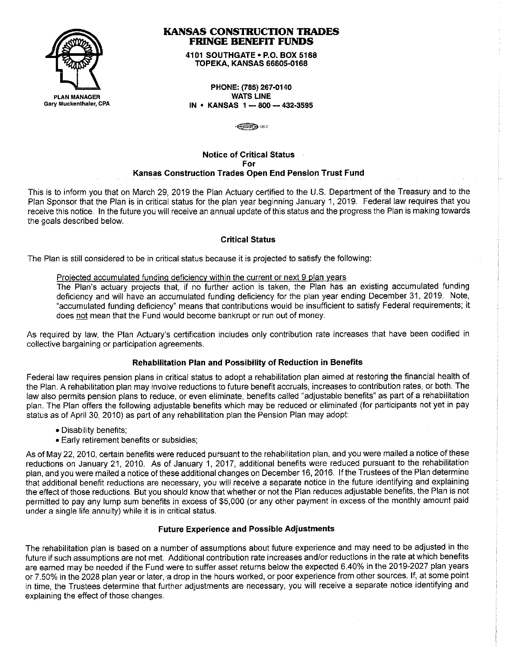

## **KANSAS CONSTRUCTION TRADES FRINGE BENEFIT FUNDS**

**4101 SOUTHGATE• P.O. BOX 5168 TOPEKA, KANSAS 66605-0168** 

**PHONE: (785) 267-0140 WATS LINE IN • KANSAS 1 - 800 - 432-3595** 

**∉িগোলী ১** 120-0

# **Notice of Critical Status For Kansas Construction Trades Open End Pension Trust Fund**

This is to inform you that on March 29, 2019 the Plan Actuary certified to the U.S. Department of the Treasury and to the Plan Sponsor that the Plan is in critical status for the plan year beginning January 1, 2019. Federal law requires that you receive this notice. In the future you will receive an annual update of this status and the progress the Plan is making towards the goals described below.

## **Critical Status**

The Plan is still considered to be in critical status because it is projected to satisfy the following:

### Projected accumulated funding deficiency within the current or next 9 plan years

The Plan's actuary projects that, if no further action is taken, the Plan has an existing accumulated funding deficiency and will have an accumulated funding deficiency for the plan year ending December 31, 2019. Note, "accumulated funding deficiency" means that contributions would be insufficient to satisfy Federal requirements; it does not mean that the Fund would become bankrupt or run out of money.

As required by law, the Plan Actuary's certification includes only contribution rate increases that have been codified in collective bargaining or participation agreements.

## **Rehabilitation Plan and Possibility of Reduction in Benefits**

Federal law requires pension plans in critical status to adopt a rehabilitation plan aimed at restoring the financial health of the Plan. A rehabilitation plan may involve reductions to future benefit accruals, increases to contribution rates, or both. The law also permits pension plans to reduce, or even eliminate, benefits called "adjustable benefits" as part of a rehabilitation plan. The Plan offers the following adjustable benefits which may be reduced or eliminated (for participants not yet in pay status as of April 30, 2010) as part of any rehabilitation plan the Pension Plan may adopt:

- Disability benefits;
- Early retirement benefits or subsidies;

As of May 22, 2010, certain benefits were reduced pursuant to the rehabilitation plan, and you were mailed a notice of these reductions on January 21, 2010. As of January **1,** 2017, additional benefits were reduced pursuant to the rehabilitation plan, and you were mailed a notice of these additional changes on December 16, 2016. If the Trustees of the Plan determine that additional benefit reductions are necessary, you will receive a separate notice in the future identifying and explaining the effect of those reductions. But you should know that whether or not the Plan reduces adjustable benefits, the Plan is not permitted to pay any lump sum benefits in excess of \$5,000 (or any other payment in excess of the monthly amount paid under a single life annuity) while it is in critical status.

### **Future Experience and Possible Adjustments**

The rehabilitation plan is based on a number of assumptions about future experience and may need to be adjusted in the future if such assumptions are not met. Additional contribution rate increases and/or reductions in the rate at which benefits are earned may be needed if the Fund were to suffer asset returns below the expected 6.40% in the 2019-2027 plan years or 7.50% in the 2028 plan year or later, a drop in the hours worked, or poor experience from other sources. If, at some point in time, the Trustees determine that further adjustments are necessary, you will receive a separate notice identifying and explaining the effect of those changes.